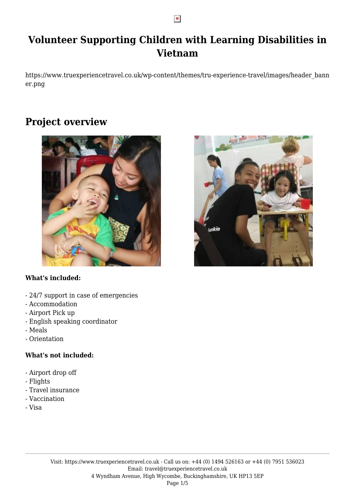# **Volunteer Supporting Children with Learning Disabilities in Vietnam**

https://www.truexperiencetravel.co.uk/wp-content/themes/tru-experience-travel/images/header\_bann er.png

## **Project overview**



## **What's included:**

- 24/7 support in case of emergencies
- Accommodation
- Airport Pick up
- English speaking coordinator
- Meals
- Orientation

### **What's not included:**

- Airport drop off
- Flights
- Travel insurance
- Vaccination
- Visa



 $\pmb{\times}$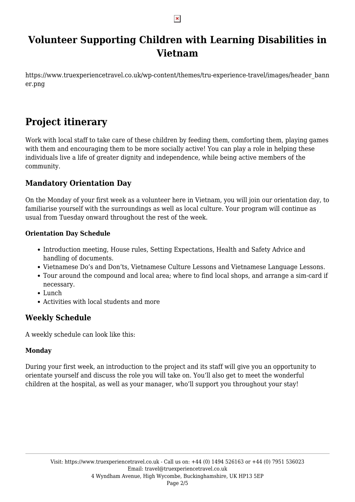#### $\pmb{\times}$

## **Volunteer Supporting Children with Learning Disabilities in Vietnam**

https://www.truexperiencetravel.co.uk/wp-content/themes/tru-experience-travel/images/header\_bann er.png

# **Project itinerary**

Work with local staff to take care of these children by feeding them, comforting them, playing games with them and encouraging them to be more socially active! You can play a role in helping these individuals live a life of greater dignity and independence, while being active members of the community.

## **Mandatory Orientation Day**

On the Monday of your first week as a volunteer here in Vietnam, you will join our orientation day, to familiarise yourself with the surroundings as well as local culture. Your program will continue as usual from Tuesday onward throughout the rest of the week.

### **Orientation Day Schedule**

- Introduction meeting, House rules, Setting Expectations, Health and Safety Advice and handling of documents.
- Vietnamese Do's and Don'ts, Vietnamese Culture Lessons and Vietnamese Language Lessons.
- Tour around the compound and local area; where to find local shops, and arrange a sim-card if necessary.
- Lunch
- Activities with local students and more

## **Weekly Schedule**

A weekly schedule can look like this:

## **Monday**

During your first week, an introduction to the project and its staff will give you an opportunity to orientate yourself and discuss the role you will take on. You'll also get to meet the wonderful children at the hospital, as well as your manager, who'll support you throughout your stay!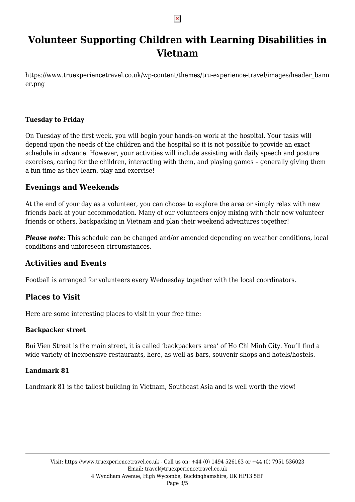#### $\pmb{\times}$

## **Volunteer Supporting Children with Learning Disabilities in Vietnam**

https://www.truexperiencetravel.co.uk/wp-content/themes/tru-experience-travel/images/header\_bann er.png

### **Tuesday to Friday**

On Tuesday of the first week, you will begin your hands-on work at the hospital. Your tasks will depend upon the needs of the children and the hospital so it is not possible to provide an exact schedule in advance. However, your activities will include assisting with daily speech and posture exercises, caring for the children, interacting with them, and playing games – generally giving them a fun time as they learn, play and exercise!

## **Evenings and Weekends**

At the end of your day as a volunteer, you can choose to explore the area or simply relax with new friends back at your accommodation. Many of our volunteers enjoy mixing with their new volunteer friends or others, backpacking in Vietnam and plan their weekend adventures together!

*Please note:* This schedule can be changed and/or amended depending on weather conditions, local conditions and unforeseen circumstances.

## **Activities and Events**

Football is arranged for volunteers every Wednesday together with the local coordinators.

## **Places to Visit**

Here are some interesting places to visit in your free time:

### **Backpacker street**

Bui Vien Street is the main street, it is called 'backpackers area' of Ho Chi Minh City. You'll find a wide variety of inexpensive restaurants, here, as well as bars, souvenir shops and hotels/hostels.

#### **Landmark 81**

Landmark 81 is the tallest building in Vietnam, Southeast Asia and is well worth the view!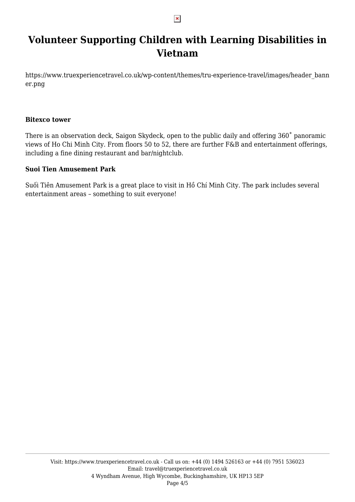#### $\pmb{\times}$

## **Volunteer Supporting Children with Learning Disabilities in Vietnam**

https://www.truexperiencetravel.co.uk/wp-content/themes/tru-experience-travel/images/header\_bann er.png

#### **Bitexco tower**

There is an observation deck, Saigon Skydeck, open to the public daily and offering 360˚ panoramic views of Ho Chi Minh City. From floors 50 to 52, there are further F&B and entertainment offerings, including a fine dining restaurant and bar/nightclub.

#### **Suoi Tien Amusement Park**

Suối Tiên Amusement Park is a great place to visit in Hồ Chí Minh City. The park includes several entertainment areas – something to suit everyone!